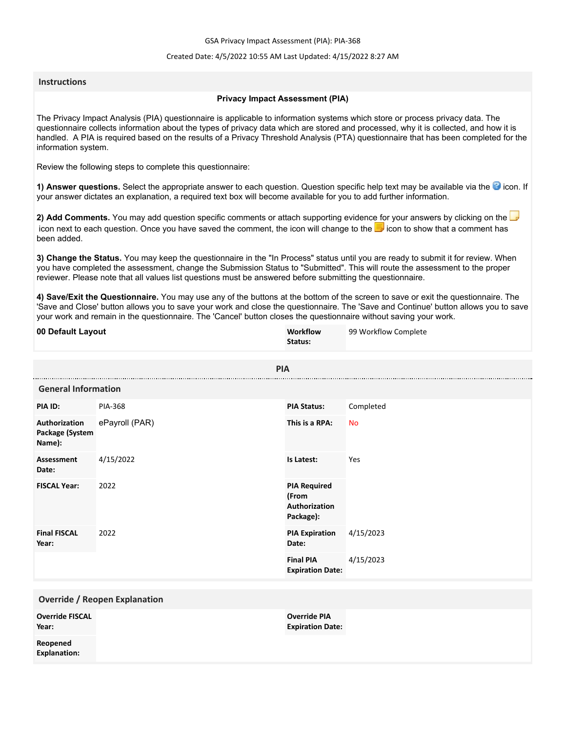GSA Privacy Impact Assessment (PIA): PIA-368

### Created Date: 4/5/2022 10:55 AM Last Updated: 4/15/2022 8:27 AM

### **Instructions**

### **Privacy Impact Assessment (PIA)**

The Privacy Impact Analysis (PIA) questionnaire is applicable to information systems which store or process privacy data. The questionnaire collects information about the types of privacy data which are stored and processed, why it is collected, and how it is handled. A PIA is required based on the results of a Privacy Threshold Analysis (PTA) questionnaire that has been completed for the information system.

Review the following steps to complete this questionnaire:

1) Answer questions. Select the appropriate answer to each question. Question specific help text may be available via the <sup>3</sup> icon. If your answer dictates an explanation, a required text box will become available for you to add further information.

**2) Add Comments.** You may add question specific comments or attach supporting evidence for your answers by clicking on the icon next to each question. Once you have saved the comment, the icon will change to the **i** icon to show that a comment has been added.

**3) Change the Status.** You may keep the questionnaire in the "In Process" status until you are ready to submit it for review. When you have completed the assessment, change the Submission Status to "Submitted". This will route the assessment to the proper reviewer. Please note that all values list questions must be answered before submitting the questionnaire.

**4) Save/Exit the Questionnaire.** You may use any of the buttons at the bottom of the screen to save or exit the questionnaire. The 'Save and Close' button allows you to save your work and close the questionnaire. The 'Save and Continue' button allows you to save your work and remain in the questionnaire. The 'Cancel' button closes the questionnaire without saving your work.

| 00 Default Layout                          |                | Workflow<br>Status:                                        | 99 Workflow Complete |
|--------------------------------------------|----------------|------------------------------------------------------------|----------------------|
|                                            | <b>PIA</b>     |                                                            |                      |
| <b>General Information</b>                 |                |                                                            |                      |
| PIA ID:                                    | <b>PIA-368</b> | <b>PIA Status:</b>                                         | Completed            |
| Authorization<br>Package (System<br>Name): | ePayroll (PAR) | This is a RPA:                                             | <b>No</b>            |
| <b>Assessment</b><br>Date:                 | 4/15/2022      | Is Latest:                                                 | Yes                  |
| <b>FISCAL Year:</b>                        | 2022           | <b>PIA Required</b><br>(From<br>Authorization<br>Package): |                      |
| <b>Final FISCAL</b><br>Year:               | 2022           | <b>PIA Expiration</b><br>Date:                             | 4/15/2023            |
|                                            |                | <b>Final PIA</b><br><b>Expiration Date:</b>                | 4/15/2023            |
| <b>Override / Reopen Explanation</b>       |                |                                                            |                      |
| <b>Override FISCAL</b><br>Year:            |                | <b>Override PIA</b><br><b>Expiration Date:</b>             |                      |
| Reopened<br><b>Explanation:</b>            |                |                                                            |                      |
|                                            |                |                                                            |                      |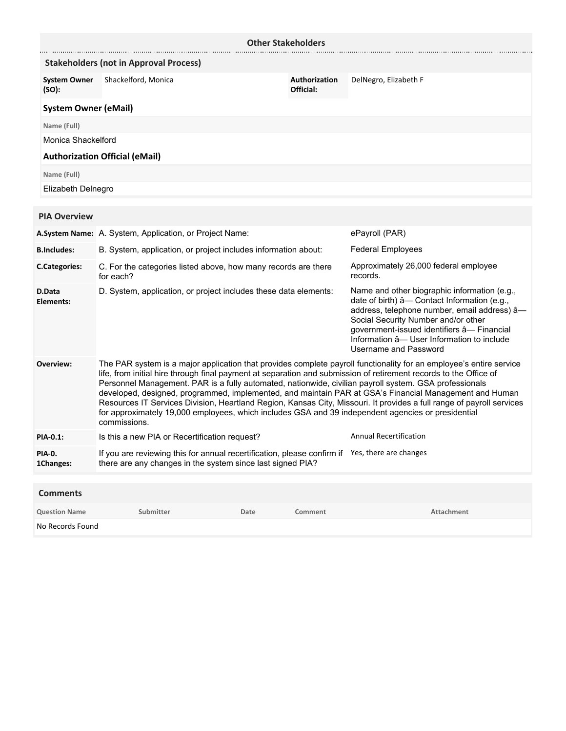| <b>Other Stakeholders</b>                     |                                                                                                                                                                                                                                                                                                                                                                                                                                                                                                                                                                                                                                                                                                             |      |                                                                                                                                                                                                                                                                                                         |                               |
|-----------------------------------------------|-------------------------------------------------------------------------------------------------------------------------------------------------------------------------------------------------------------------------------------------------------------------------------------------------------------------------------------------------------------------------------------------------------------------------------------------------------------------------------------------------------------------------------------------------------------------------------------------------------------------------------------------------------------------------------------------------------------|------|---------------------------------------------------------------------------------------------------------------------------------------------------------------------------------------------------------------------------------------------------------------------------------------------------------|-------------------------------|
| <b>Stakeholders (not in Approval Process)</b> |                                                                                                                                                                                                                                                                                                                                                                                                                                                                                                                                                                                                                                                                                                             |      |                                                                                                                                                                                                                                                                                                         |                               |
| <b>System Owner</b><br>(SO):                  | Shackelford, Monica                                                                                                                                                                                                                                                                                                                                                                                                                                                                                                                                                                                                                                                                                         |      | Authorization<br>Official:                                                                                                                                                                                                                                                                              | DelNegro, Elizabeth F         |
| <b>System Owner (eMail)</b>                   |                                                                                                                                                                                                                                                                                                                                                                                                                                                                                                                                                                                                                                                                                                             |      |                                                                                                                                                                                                                                                                                                         |                               |
| Name (Full)                                   |                                                                                                                                                                                                                                                                                                                                                                                                                                                                                                                                                                                                                                                                                                             |      |                                                                                                                                                                                                                                                                                                         |                               |
| Monica Shackelford                            |                                                                                                                                                                                                                                                                                                                                                                                                                                                                                                                                                                                                                                                                                                             |      |                                                                                                                                                                                                                                                                                                         |                               |
|                                               | <b>Authorization Official (eMail)</b>                                                                                                                                                                                                                                                                                                                                                                                                                                                                                                                                                                                                                                                                       |      |                                                                                                                                                                                                                                                                                                         |                               |
| Name (Full)                                   |                                                                                                                                                                                                                                                                                                                                                                                                                                                                                                                                                                                                                                                                                                             |      |                                                                                                                                                                                                                                                                                                         |                               |
| Elizabeth Delnegro                            |                                                                                                                                                                                                                                                                                                                                                                                                                                                                                                                                                                                                                                                                                                             |      |                                                                                                                                                                                                                                                                                                         |                               |
|                                               |                                                                                                                                                                                                                                                                                                                                                                                                                                                                                                                                                                                                                                                                                                             |      |                                                                                                                                                                                                                                                                                                         |                               |
| <b>PIA Overview</b>                           |                                                                                                                                                                                                                                                                                                                                                                                                                                                                                                                                                                                                                                                                                                             |      |                                                                                                                                                                                                                                                                                                         |                               |
|                                               | A.System Name: A. System, Application, or Project Name:                                                                                                                                                                                                                                                                                                                                                                                                                                                                                                                                                                                                                                                     |      |                                                                                                                                                                                                                                                                                                         | ePayroll (PAR)                |
| <b>B.Includes:</b>                            | B. System, application, or project includes information about:                                                                                                                                                                                                                                                                                                                                                                                                                                                                                                                                                                                                                                              |      | <b>Federal Employees</b>                                                                                                                                                                                                                                                                                |                               |
| <b>C.Categories:</b>                          | C. For the categories listed above, how many records are there<br>for each?                                                                                                                                                                                                                                                                                                                                                                                                                                                                                                                                                                                                                                 |      | Approximately 26,000 federal employee<br>records.                                                                                                                                                                                                                                                       |                               |
| D.Data<br>Elements:                           | D. System, application, or project includes these data elements:                                                                                                                                                                                                                                                                                                                                                                                                                                                                                                                                                                                                                                            |      | Name and other biographic information (e.g.,<br>date of birth) â- Contact Information (e.g.,<br>address, telephone number, email address) â-<br>Social Security Number and/or other<br>government-issued identifiers â- Financial<br>Information â-User Information to include<br>Username and Password |                               |
| Overview:                                     | The PAR system is a major application that provides complete payroll functionality for an employee's entire service<br>life, from initial hire through final payment at separation and submission of retirement records to the Office of<br>Personnel Management. PAR is a fully automated, nationwide, civilian payroll system. GSA professionals<br>developed, designed, programmed, implemented, and maintain PAR at GSA's Financial Management and Human<br>Resources IT Services Division, Heartland Region, Kansas City, Missouri. It provides a full range of payroll services<br>for approximately 19,000 employees, which includes GSA and 39 independent agencies or presidential<br>commissions. |      |                                                                                                                                                                                                                                                                                                         |                               |
| <b>PIA-0.1:</b>                               | Is this a new PIA or Recertification request?                                                                                                                                                                                                                                                                                                                                                                                                                                                                                                                                                                                                                                                               |      |                                                                                                                                                                                                                                                                                                         | <b>Annual Recertification</b> |
| <b>PIA-0.</b><br>1Changes:                    | If you are reviewing this for annual recertification, please confirm if Yes, there are changes<br>there are any changes in the system since last signed PIA?                                                                                                                                                                                                                                                                                                                                                                                                                                                                                                                                                |      |                                                                                                                                                                                                                                                                                                         |                               |
|                                               |                                                                                                                                                                                                                                                                                                                                                                                                                                                                                                                                                                                                                                                                                                             |      |                                                                                                                                                                                                                                                                                                         |                               |
| <b>Comments</b><br><b>Question Name</b>       | Submitter                                                                                                                                                                                                                                                                                                                                                                                                                                                                                                                                                                                                                                                                                                   | Date | Comment                                                                                                                                                                                                                                                                                                 | <b>Attachment</b>             |

|                  | ___________ | ------ | ______________ |
|------------------|-------------|--------|----------------|
| No Records Found |             |        |                |
|                  |             |        |                |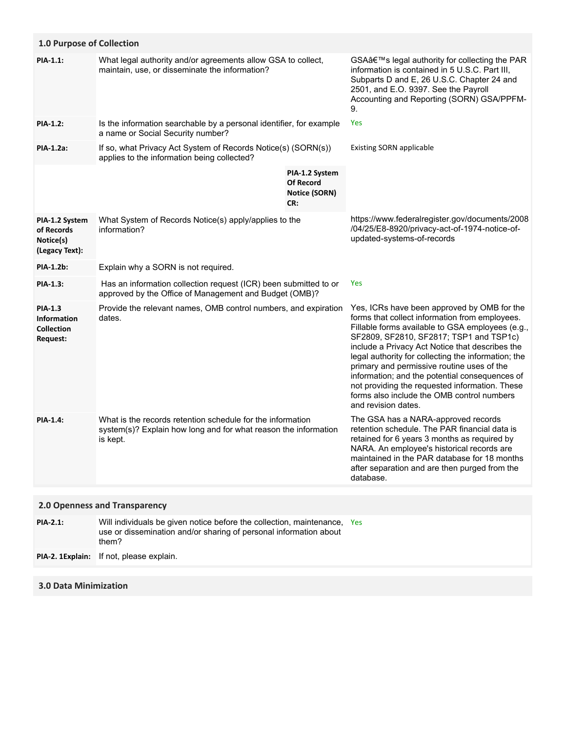| 1.0 Purpose of Collection                                                    |                                                                                                                                           |                                                                   |                                                                                                                                                                                                                                                                                                                                                                                                                                                                                                                               |
|------------------------------------------------------------------------------|-------------------------------------------------------------------------------------------------------------------------------------------|-------------------------------------------------------------------|-------------------------------------------------------------------------------------------------------------------------------------------------------------------------------------------------------------------------------------------------------------------------------------------------------------------------------------------------------------------------------------------------------------------------------------------------------------------------------------------------------------------------------|
| PIA-1.1:                                                                     | What legal authority and/or agreements allow GSA to collect,<br>maintain, use, or disseminate the information?                            |                                                                   | GSA's legal authority for collecting the PAR<br>information is contained in 5 U.S.C. Part III,<br>Subparts D and E, 26 U.S.C. Chapter 24 and<br>2501, and E.O. 9397. See the Payroll<br>Accounting and Reporting (SORN) GSA/PPFM-<br>9.                                                                                                                                                                                                                                                                                       |
| <b>PIA-1.2:</b>                                                              | Is the information searchable by a personal identifier, for example<br>a name or Social Security number?                                  |                                                                   | Yes                                                                                                                                                                                                                                                                                                                                                                                                                                                                                                                           |
| <b>PIA-1.2a:</b>                                                             | If so, what Privacy Act System of Records Notice(s) (SORN(s))<br>applies to the information being collected?                              |                                                                   | <b>Existing SORN applicable</b>                                                                                                                                                                                                                                                                                                                                                                                                                                                                                               |
|                                                                              |                                                                                                                                           | PIA-1.2 System<br><b>Of Record</b><br><b>Notice (SORN)</b><br>CR: |                                                                                                                                                                                                                                                                                                                                                                                                                                                                                                                               |
| PIA-1.2 System<br>of Records<br>Notice(s)<br>(Legacy Text):                  | What System of Records Notice(s) apply/applies to the<br>information?                                                                     |                                                                   | https://www.federalregister.gov/documents/2008<br>/04/25/E8-8920/privacy-act-of-1974-notice-of-<br>updated-systems-of-records                                                                                                                                                                                                                                                                                                                                                                                                 |
| PIA-1.2b:                                                                    | Explain why a SORN is not required.                                                                                                       |                                                                   |                                                                                                                                                                                                                                                                                                                                                                                                                                                                                                                               |
| <b>PIA-1.3:</b>                                                              | Has an information collection request (ICR) been submitted to or<br>approved by the Office of Management and Budget (OMB)?                |                                                                   | Yes                                                                                                                                                                                                                                                                                                                                                                                                                                                                                                                           |
| <b>PIA-1.3</b><br><b>Information</b><br><b>Collection</b><br><b>Request:</b> | Provide the relevant names, OMB control numbers, and expiration<br>dates.                                                                 |                                                                   | Yes, ICRs have been approved by OMB for the<br>forms that collect information from employees.<br>Fillable forms available to GSA employees (e.g.,<br>SF2809, SF2810, SF2817; TSP1 and TSP1c)<br>include a Privacy Act Notice that describes the<br>legal authority for collecting the information; the<br>primary and permissive routine uses of the<br>information; and the potential consequences of<br>not providing the requested information. These<br>forms also include the OMB control numbers<br>and revision dates. |
| <b>PIA-1.4:</b>                                                              | What is the records retention schedule for the information<br>system(s)? Explain how long and for what reason the information<br>is kept. |                                                                   | The GSA has a NARA-approved records<br>retention schedule. The PAR financial data is<br>retained for 6 years 3 months as required by<br>NARA. An employee's historical records are<br>maintained in the PAR database for 18 months<br>after separation and are then purged from the<br>database.                                                                                                                                                                                                                              |
|                                                                              | 2.0 Openness and Transparency                                                                                                             |                                                                   |                                                                                                                                                                                                                                                                                                                                                                                                                                                                                                                               |
| <b>PIA-2.1:</b>                                                              | Will individuals be given notice before the collection, maintenance, Yes                                                                  |                                                                   |                                                                                                                                                                                                                                                                                                                                                                                                                                                                                                                               |
|                                                                              | use or dissemination and/or sharing of personal information about<br>them?                                                                |                                                                   |                                                                                                                                                                                                                                                                                                                                                                                                                                                                                                                               |
| PIA-2. 1Explain:                                                             | If not, please explain.                                                                                                                   |                                                                   |                                                                                                                                                                                                                                                                                                                                                                                                                                                                                                                               |
|                                                                              |                                                                                                                                           |                                                                   |                                                                                                                                                                                                                                                                                                                                                                                                                                                                                                                               |

# **3.0 Data Minimization**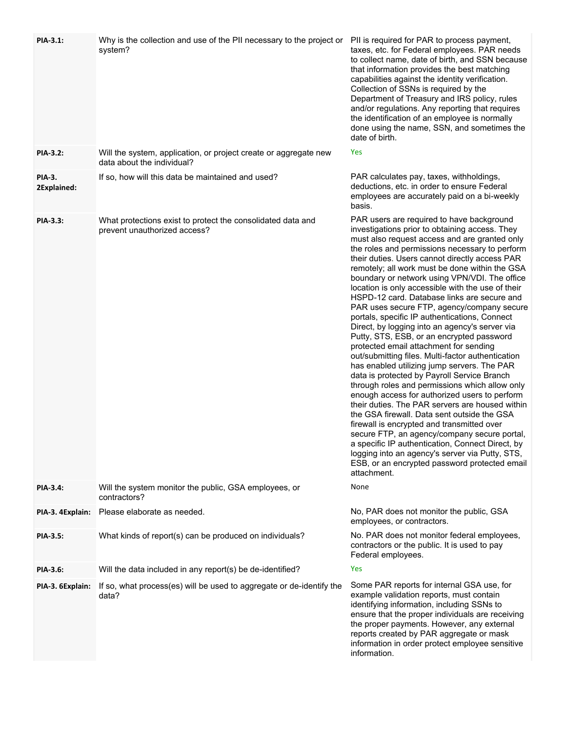| <b>PIA-3.1:</b>              | Why is the collection and use of the PII necessary to the project or<br>system?                | PII is required for PAR to process payment,<br>taxes, etc. for Federal employees. PAR needs<br>to collect name, date of birth, and SSN because<br>that information provides the best matching<br>capabilities against the identity verification.<br>Collection of SSNs is required by the<br>Department of Treasury and IRS policy, rules<br>and/or regulations. Any reporting that requires<br>the identification of an employee is normally<br>done using the name, SSN, and sometimes the<br>date of birth.                                                                                                                                                                                                                                                                                                                                                                                                                                                                                                                                                                                                                                                                                                                                                                                                               |
|------------------------------|------------------------------------------------------------------------------------------------|------------------------------------------------------------------------------------------------------------------------------------------------------------------------------------------------------------------------------------------------------------------------------------------------------------------------------------------------------------------------------------------------------------------------------------------------------------------------------------------------------------------------------------------------------------------------------------------------------------------------------------------------------------------------------------------------------------------------------------------------------------------------------------------------------------------------------------------------------------------------------------------------------------------------------------------------------------------------------------------------------------------------------------------------------------------------------------------------------------------------------------------------------------------------------------------------------------------------------------------------------------------------------------------------------------------------------|
| <b>PIA-3.2:</b>              | Will the system, application, or project create or aggregate new<br>data about the individual? | Yes                                                                                                                                                                                                                                                                                                                                                                                                                                                                                                                                                                                                                                                                                                                                                                                                                                                                                                                                                                                                                                                                                                                                                                                                                                                                                                                          |
| <b>PIA-3.</b><br>2Explained: | If so, how will this data be maintained and used?                                              | PAR calculates pay, taxes, withholdings,<br>deductions, etc. in order to ensure Federal<br>employees are accurately paid on a bi-weekly<br>basis.                                                                                                                                                                                                                                                                                                                                                                                                                                                                                                                                                                                                                                                                                                                                                                                                                                                                                                                                                                                                                                                                                                                                                                            |
| PIA-3.3:                     | What protections exist to protect the consolidated data and<br>prevent unauthorized access?    | PAR users are required to have background<br>investigations prior to obtaining access. They<br>must also request access and are granted only<br>the roles and permissions necessary to perform<br>their duties. Users cannot directly access PAR<br>remotely; all work must be done within the GSA<br>boundary or network using VPN/VDI. The office<br>location is only accessible with the use of their<br>HSPD-12 card. Database links are secure and<br>PAR uses secure FTP, agency/company secure<br>portals, specific IP authentications, Connect<br>Direct, by logging into an agency's server via<br>Putty, STS, ESB, or an encrypted password<br>protected email attachment for sending<br>out/submitting files. Multi-factor authentication<br>has enabled utilizing jump servers. The PAR<br>data is protected by Payroll Service Branch<br>through roles and permissions which allow only<br>enough access for authorized users to perform<br>their duties. The PAR servers are housed within<br>the GSA firewall. Data sent outside the GSA<br>firewall is encrypted and transmitted over<br>secure FTP, an agency/company secure portal,<br>a specific IP authentication, Connect Direct, by<br>logging into an agency's server via Putty, STS,<br>ESB, or an encrypted password protected email<br>attachment. |
| PIA-3.4:                     | Will the system monitor the public, GSA employees, or<br>contractors?                          | None                                                                                                                                                                                                                                                                                                                                                                                                                                                                                                                                                                                                                                                                                                                                                                                                                                                                                                                                                                                                                                                                                                                                                                                                                                                                                                                         |
| PIA-3. 4Explain:             | Please elaborate as needed.                                                                    | No, PAR does not monitor the public, GSA<br>employees, or contractors.                                                                                                                                                                                                                                                                                                                                                                                                                                                                                                                                                                                                                                                                                                                                                                                                                                                                                                                                                                                                                                                                                                                                                                                                                                                       |
| <b>PIA-3.5:</b>              | What kinds of report(s) can be produced on individuals?                                        | No. PAR does not monitor federal employees,<br>contractors or the public. It is used to pay<br>Federal employees.                                                                                                                                                                                                                                                                                                                                                                                                                                                                                                                                                                                                                                                                                                                                                                                                                                                                                                                                                                                                                                                                                                                                                                                                            |
| PIA-3.6:                     | Will the data included in any report(s) be de-identified?                                      | Yes                                                                                                                                                                                                                                                                                                                                                                                                                                                                                                                                                                                                                                                                                                                                                                                                                                                                                                                                                                                                                                                                                                                                                                                                                                                                                                                          |
| PIA-3. 6Explain:             | If so, what process(es) will be used to aggregate or de-identify the<br>data?                  | Some PAR reports for internal GSA use, for<br>example validation reports, must contain<br>identifying information, including SSNs to<br>ensure that the proper individuals are receiving<br>the proper payments. However, any external<br>reports created by PAR aggregate or mask<br>information in order protect employee sensitive<br>information.                                                                                                                                                                                                                                                                                                                                                                                                                                                                                                                                                                                                                                                                                                                                                                                                                                                                                                                                                                        |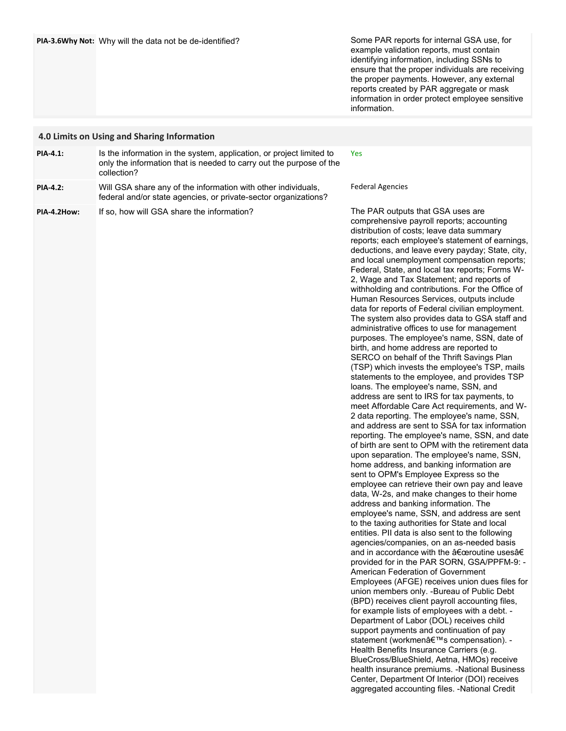Some PAR reports for internal GSA use, for example validation reports, must contain identifying information, including SSNs to ensure that the proper individuals are receiving the proper payments. However, any external reports created by PAR aggregate or mask information in order protect employee sensitive information.

|                 | 4.0 Limits on Using and Sharing Information                                                                                                                |                                                                                                                                                                                                                                                                                                                                                                                                                                                                                                                                                                                                                                                                                                                                                                                                                                                                                                                                                                                                                                                                                                                                                                                                                                                                                                                                                                                                                                                                                                                                                                                                                                                                                                                                                                                                                                                                                                                                                                                                                                                                                                                                                                                                                                                                                                                                                                                                                                       |
|-----------------|------------------------------------------------------------------------------------------------------------------------------------------------------------|---------------------------------------------------------------------------------------------------------------------------------------------------------------------------------------------------------------------------------------------------------------------------------------------------------------------------------------------------------------------------------------------------------------------------------------------------------------------------------------------------------------------------------------------------------------------------------------------------------------------------------------------------------------------------------------------------------------------------------------------------------------------------------------------------------------------------------------------------------------------------------------------------------------------------------------------------------------------------------------------------------------------------------------------------------------------------------------------------------------------------------------------------------------------------------------------------------------------------------------------------------------------------------------------------------------------------------------------------------------------------------------------------------------------------------------------------------------------------------------------------------------------------------------------------------------------------------------------------------------------------------------------------------------------------------------------------------------------------------------------------------------------------------------------------------------------------------------------------------------------------------------------------------------------------------------------------------------------------------------------------------------------------------------------------------------------------------------------------------------------------------------------------------------------------------------------------------------------------------------------------------------------------------------------------------------------------------------------------------------------------------------------------------------------------------------|
| PIA-4.1:        | Is the information in the system, application, or project limited to<br>only the information that is needed to carry out the purpose of the<br>collection? | Yes                                                                                                                                                                                                                                                                                                                                                                                                                                                                                                                                                                                                                                                                                                                                                                                                                                                                                                                                                                                                                                                                                                                                                                                                                                                                                                                                                                                                                                                                                                                                                                                                                                                                                                                                                                                                                                                                                                                                                                                                                                                                                                                                                                                                                                                                                                                                                                                                                                   |
| <b>PIA-4.2:</b> | Will GSA share any of the information with other individuals,<br>federal and/or state agencies, or private-sector organizations?                           | <b>Federal Agencies</b>                                                                                                                                                                                                                                                                                                                                                                                                                                                                                                                                                                                                                                                                                                                                                                                                                                                                                                                                                                                                                                                                                                                                                                                                                                                                                                                                                                                                                                                                                                                                                                                                                                                                                                                                                                                                                                                                                                                                                                                                                                                                                                                                                                                                                                                                                                                                                                                                               |
| PIA-4.2How:     | If so, how will GSA share the information?                                                                                                                 | The PAR outputs that GSA uses are<br>comprehensive payroll reports; accounting<br>distribution of costs; leave data summary<br>reports; each employee's statement of earnings,<br>deductions, and leave every payday; State, city,<br>and local unemployment compensation reports;<br>Federal, State, and local tax reports; Forms W-<br>2, Wage and Tax Statement; and reports of<br>withholding and contributions. For the Office of<br>Human Resources Services, outputs include<br>data for reports of Federal civilian employment.<br>The system also provides data to GSA staff and<br>administrative offices to use for management<br>purposes. The employee's name, SSN, date of<br>birth, and home address are reported to<br>SERCO on behalf of the Thrift Savings Plan<br>(TSP) which invests the employee's TSP, mails<br>statements to the employee, and provides TSP<br>loans. The employee's name, SSN, and<br>address are sent to IRS for tax payments, to<br>meet Affordable Care Act requirements, and W-<br>2 data reporting. The employee's name, SSN,<br>and address are sent to SSA for tax information<br>reporting. The employee's name, SSN, and date<br>of birth are sent to OPM with the retirement data<br>upon separation. The employee's name, SSN,<br>home address, and banking information are<br>sent to OPM's Employee Express so the<br>employee can retrieve their own pay and leave<br>data, W-2s, and make changes to their home<br>address and banking information. The<br>employee's name, SSN, and address are sent<br>to the taxing authorities for State and local<br>entities. PII data is also sent to the following<br>agencies/companies, on an as-needed basis<br>and in accordance with the "routine usesâ€<br>provided for in the PAR SORN, GSA/PPFM-9: -<br>American Federation of Government<br>Employees (AFGE) receives union dues files for<br>union members only. - Bureau of Public Debt<br>(BPD) receives client payroll accounting files,<br>for example lists of employees with a debt. -<br>Department of Labor (DOL) receives child<br>support payments and continuation of pay<br>statement (workmen's compensation). -<br>Health Benefits Insurance Carriers (e.g.<br>BlueCross/BlueShield, Aetna, HMOs) receive<br>health insurance premiums. - National Business<br>Center, Department Of Interior (DOI) receives<br>aggregated accounting files. - National Credit |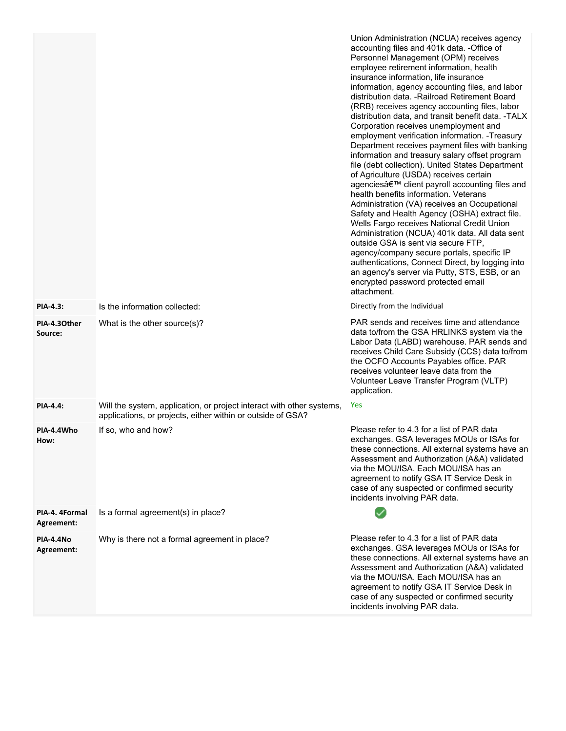|                              |                                                                                                                                      | Union Administration (NCUA) receives agency<br>accounting files and 401k data. - Office of<br>Personnel Management (OPM) receives<br>employee retirement information, health<br>insurance information, life insurance<br>information, agency accounting files, and labor<br>distribution data. - Railroad Retirement Board<br>(RRB) receives agency accounting files, labor<br>distribution data, and transit benefit data. - TALX<br>Corporation receives unemployment and<br>employment verification information. - Treasury<br>Department receives payment files with banking<br>information and treasury salary offset program<br>file (debt collection). United States Department<br>of Agriculture (USDA) receives certain<br>agencies' client payroll accounting files and<br>health benefits information. Veterans<br>Administration (VA) receives an Occupational<br>Safety and Health Agency (OSHA) extract file.<br>Wells Fargo receives National Credit Union<br>Administration (NCUA) 401k data. All data sent<br>outside GSA is sent via secure FTP,<br>agency/company secure portals, specific IP<br>authentications, Connect Direct, by logging into<br>an agency's server via Putty, STS, ESB, or an<br>encrypted password protected email<br>attachment. |
|------------------------------|--------------------------------------------------------------------------------------------------------------------------------------|----------------------------------------------------------------------------------------------------------------------------------------------------------------------------------------------------------------------------------------------------------------------------------------------------------------------------------------------------------------------------------------------------------------------------------------------------------------------------------------------------------------------------------------------------------------------------------------------------------------------------------------------------------------------------------------------------------------------------------------------------------------------------------------------------------------------------------------------------------------------------------------------------------------------------------------------------------------------------------------------------------------------------------------------------------------------------------------------------------------------------------------------------------------------------------------------------------------------------------------------------------------------------|
| <b>PIA-4.3:</b>              | Is the information collected:                                                                                                        | Directly from the Individual                                                                                                                                                                                                                                                                                                                                                                                                                                                                                                                                                                                                                                                                                                                                                                                                                                                                                                                                                                                                                                                                                                                                                                                                                                               |
| PIA-4.30ther<br>Source:      | What is the other source(s)?                                                                                                         | PAR sends and receives time and attendance<br>data to/from the GSA HRLINKS system via the<br>Labor Data (LABD) warehouse. PAR sends and<br>receives Child Care Subsidy (CCS) data to/from<br>the OCFO Accounts Payables office. PAR<br>receives volunteer leave data from the<br>Volunteer Leave Transfer Program (VLTP)<br>application.                                                                                                                                                                                                                                                                                                                                                                                                                                                                                                                                                                                                                                                                                                                                                                                                                                                                                                                                   |
| <b>PIA-4.4:</b>              | Will the system, application, or project interact with other systems,<br>applications, or projects, either within or outside of GSA? | <b>Yes</b>                                                                                                                                                                                                                                                                                                                                                                                                                                                                                                                                                                                                                                                                                                                                                                                                                                                                                                                                                                                                                                                                                                                                                                                                                                                                 |
| PIA-4.4Who<br>How:           | If so, who and how?                                                                                                                  | Please refer to 4.3 for a list of PAR data<br>exchanges. GSA leverages MOUs or ISAs for<br>these connections. All external systems have an<br>Assessment and Authorization (A&A) validated<br>via the MOU/ISA. Each MOU/ISA has an<br>agreement to notify GSA IT Service Desk in<br>case of any suspected or confirmed security<br>incidents involving PAR data.                                                                                                                                                                                                                                                                                                                                                                                                                                                                                                                                                                                                                                                                                                                                                                                                                                                                                                           |
| PIA-4. 4Formal<br>Agreement: | Is a formal agreement(s) in place?                                                                                                   |                                                                                                                                                                                                                                                                                                                                                                                                                                                                                                                                                                                                                                                                                                                                                                                                                                                                                                                                                                                                                                                                                                                                                                                                                                                                            |
| PIA-4.4No<br>Agreement:      | Why is there not a formal agreement in place?                                                                                        | Please refer to 4.3 for a list of PAR data<br>exchanges. GSA leverages MOUs or ISAs for<br>these connections. All external systems have an<br>Assessment and Authorization (A&A) validated<br>via the MOU/ISA. Each MOU/ISA has an<br>agreement to notify GSA IT Service Desk in<br>case of any suspected or confirmed security<br>incidents involving PAR data.                                                                                                                                                                                                                                                                                                                                                                                                                                                                                                                                                                                                                                                                                                                                                                                                                                                                                                           |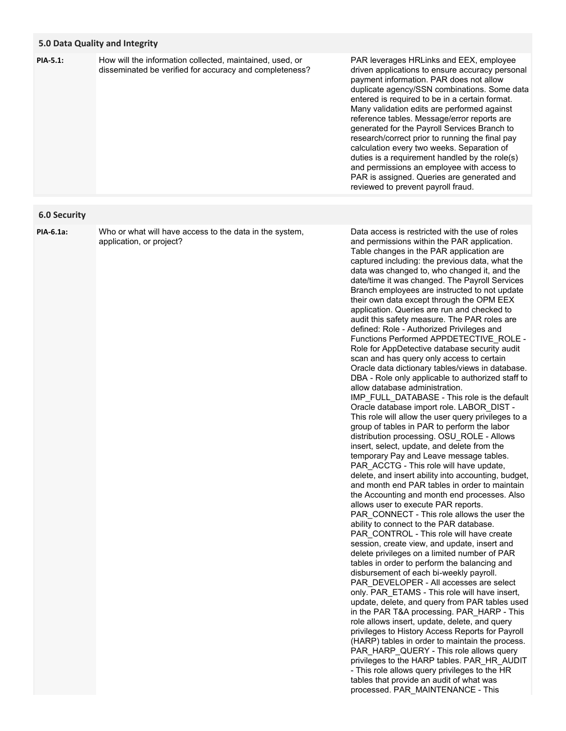### **5.0 Data Quality and Integrity**

How will the information collected, maintained, used, or disseminated be verified for accuracy and completeness? PAR leverages HRLinks and EEX, employee driven applications to ensure accuracy personal payment information. PAR does not allow duplicate agency/SSN combinations. Some data entered is required to be in a certain format. Many validation edits are performed against reference tables. Message/error reports are generated for the Payroll Services Branch to research/correct prior to running the final pay calculation every two weeks. Separation of duties is a requirement handled by the role(s) and permissions an employee with access to PAR is assigned. Queries are generated and reviewed to prevent payroll fraud.

## **6.0 Security**

**PIA-6.1a:**

**PIA-5.1:**

Who or what will have access to the data in the system, application, or project?

Data access is restricted with the use of roles and permissions within the PAR application. Table changes in the PAR application are captured including: the previous data, what the data was changed to, who changed it, and the date/time it was changed. The Payroll Services Branch employees are instructed to not update their own data except through the OPM EEX application. Queries are run and checked to audit this safety measure. The PAR roles are defined: Role - Authorized Privileges and Functions Performed APPDETECTIVE\_ROLE - Role for AppDetective database security audit scan and has query only access to certain Oracle data dictionary tables/views in database. DBA - Role only applicable to authorized staff to allow database administration. IMP\_FULL\_DATABASE - This role is the default Oracle database import role. LABOR\_DIST - This role will allow the user query privileges to a group of tables in PAR to perform the labor distribution processing. OSU\_ROLE - Allows insert, select, update, and delete from the temporary Pay and Leave message tables. PAR\_ACCTG - This role will have update, delete, and insert ability into accounting, budget, and month end PAR tables in order to maintain the Accounting and month end processes. Also allows user to execute PAR reports. PAR\_CONNECT - This role allows the user the ability to connect to the PAR database. PAR\_CONTROL - This role will have create session, create view, and update, insert and delete privileges on a limited number of PAR tables in order to perform the balancing and disbursement of each bi-weekly payroll. PAR\_DEVELOPER - All accesses are select only. PAR ETAMS - This role will have insert, update, delete, and query from PAR tables used in the PAR T&A processing. PAR\_HARP - This role allows insert, update, delete, and query privileges to History Access Reports for Payroll (HARP) tables in order to maintain the process. PAR\_HARP\_QUERY - This role allows query privileges to the HARP tables. PAR\_HR\_AUDIT - This role allows query privileges to the HR tables that provide an audit of what was processed. PAR\_MAINTENANCE - This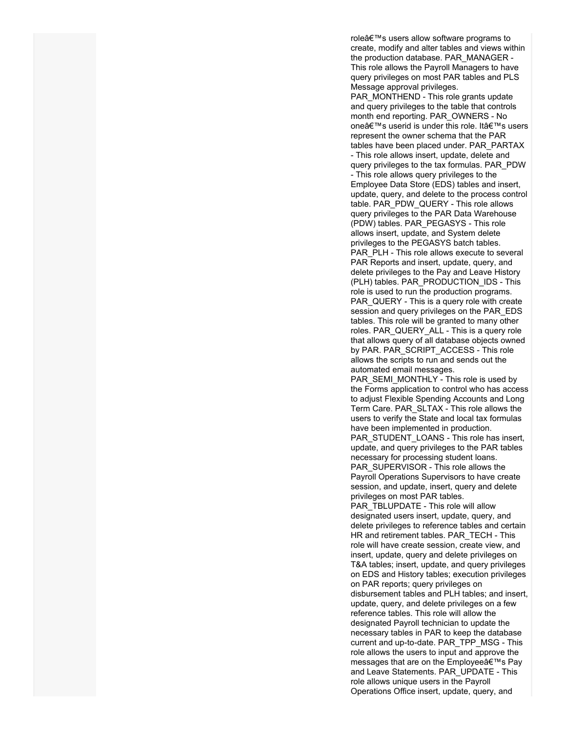role's users allow software programs to create, modify and alter tables and views within the production database. PAR\_MANAGER - This role allows the Payroll Managers to have query privileges on most PAR tables and PLS Message approval privileges.

PAR\_MONTHEND - This role grants update and query privileges to the table that controls month end reporting. PAR\_OWNERS - No one's userid is under this role. It's users represent the owner schema that the PAR tables have been placed under. PAR\_PARTAX - This role allows insert, update, delete and query privileges to the tax formulas. PAR\_PDW - This role allows query privileges to the Employee Data Store (EDS) tables and insert, update, query, and delete to the process control table. PAR\_PDW\_QUERY - This role allows query privileges to the PAR Data Warehouse (PDW) tables. PAR\_PEGASYS - This role allows insert, update, and System delete privileges to the PEGASYS batch tables. PAR PLH - This role allows execute to several PAR Reports and insert, update, query, and delete privileges to the Pay and Leave History (PLH) tables. PAR\_PRODUCTION\_IDS - This role is used to run the production programs. PAR QUERY - This is a query role with create session and query privileges on the PAR\_EDS tables. This role will be granted to many other roles. PAR\_QUERY\_ALL - This is a query role that allows query of all database objects owned by PAR. PAR\_SCRIPT\_ACCESS - This role allows the scripts to run and sends out the automated email messages.

PAR\_SEMI\_MONTHLY - This role is used by the Forms application to control who has access to adjust Flexible Spending Accounts and Long Term Care. PAR\_SLTAX - This role allows the users to verify the State and local tax formulas have been implemented in production. PAR\_STUDENT\_LOANS - This role has insert, update, and query privileges to the PAR tables necessary for processing student loans. PAR\_SUPERVISOR - This role allows the Payroll Operations Supervisors to have create session, and update, insert, query and delete privileges on most PAR tables.

PAR\_TBLUPDATE - This role will allow designated users insert, update, query, and delete privileges to reference tables and certain HR and retirement tables. PAR\_TECH - This role will have create session, create view, and insert, update, query and delete privileges on T&A tables; insert, update, and query privileges on EDS and History tables; execution privileges on PAR reports; query privileges on disbursement tables and PLH tables; and insert, update, query, and delete privileges on a few reference tables. This role will allow the designated Payroll technician to update the necessary tables in PAR to keep the database current and up-to-date. PAR\_TPP\_MSG - This role allows the users to input and approve the messages that are on the Employee's Pay and Leave Statements. PAR\_UPDATE - This role allows unique users in the Payroll Operations Office insert, update, query, and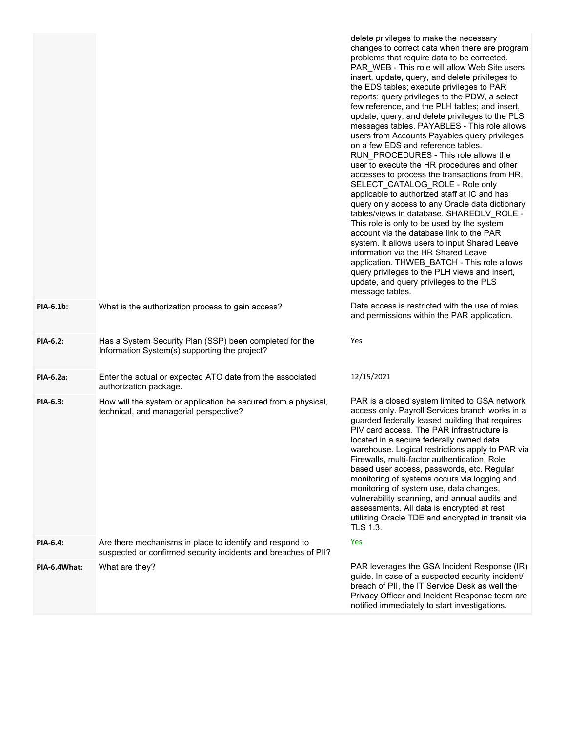|              |                                                                                                                            | delete privileges to make the necessary<br>changes to correct data when there are program<br>problems that require data to be corrected.<br>PAR_WEB - This role will allow Web Site users<br>insert, update, query, and delete privileges to<br>the EDS tables; execute privileges to PAR<br>reports; query privileges to the PDW, a select<br>few reference, and the PLH tables; and insert,<br>update, query, and delete privileges to the PLS<br>messages tables. PAYABLES - This role allows<br>users from Accounts Payables query privileges<br>on a few EDS and reference tables.<br>RUN_PROCEDURES - This role allows the<br>user to execute the HR procedures and other<br>accesses to process the transactions from HR.<br>SELECT_CATALOG_ROLE - Role only<br>applicable to authorized staff at IC and has<br>query only access to any Oracle data dictionary<br>tables/views in database. SHAREDLV_ROLE -<br>This role is only to be used by the system<br>account via the database link to the PAR<br>system. It allows users to input Shared Leave<br>information via the HR Shared Leave<br>application. THWEB_BATCH - This role allows<br>query privileges to the PLH views and insert,<br>update, and query privileges to the PLS<br>message tables. |
|--------------|----------------------------------------------------------------------------------------------------------------------------|---------------------------------------------------------------------------------------------------------------------------------------------------------------------------------------------------------------------------------------------------------------------------------------------------------------------------------------------------------------------------------------------------------------------------------------------------------------------------------------------------------------------------------------------------------------------------------------------------------------------------------------------------------------------------------------------------------------------------------------------------------------------------------------------------------------------------------------------------------------------------------------------------------------------------------------------------------------------------------------------------------------------------------------------------------------------------------------------------------------------------------------------------------------------------------------------------------------------------------------------------------------------|
| PIA-6.1b:    | What is the authorization process to gain access?                                                                          | Data access is restricted with the use of roles<br>and permissions within the PAR application.                                                                                                                                                                                                                                                                                                                                                                                                                                                                                                                                                                                                                                                                                                                                                                                                                                                                                                                                                                                                                                                                                                                                                                      |
| PIA-6.2:     | Has a System Security Plan (SSP) been completed for the<br>Information System(s) supporting the project?                   | Yes                                                                                                                                                                                                                                                                                                                                                                                                                                                                                                                                                                                                                                                                                                                                                                                                                                                                                                                                                                                                                                                                                                                                                                                                                                                                 |
| PIA-6.2a:    | Enter the actual or expected ATO date from the associated<br>authorization package.                                        | 12/15/2021                                                                                                                                                                                                                                                                                                                                                                                                                                                                                                                                                                                                                                                                                                                                                                                                                                                                                                                                                                                                                                                                                                                                                                                                                                                          |
| PIA-6.3:     | How will the system or application be secured from a physical,<br>technical, and managerial perspective?                   | PAR is a closed system limited to GSA network<br>access only. Payroll Services branch works in a<br>guarded federally leased building that requires<br>PIV card access. The PAR infrastructure is<br>located in a secure federally owned data<br>warehouse. Logical restrictions apply to PAR via<br>Firewalls, multi-factor authentication, Role<br>based user access, passwords, etc. Regular<br>monitoring of systems occurs via logging and<br>monitoring of system use, data changes,<br>vulnerability scanning, and annual audits and<br>assessments. All data is encrypted at rest<br>utilizing Oracle TDE and encrypted in transit via<br><b>TLS 1.3.</b>                                                                                                                                                                                                                                                                                                                                                                                                                                                                                                                                                                                                   |
| PIA-6.4:     | Are there mechanisms in place to identify and respond to<br>suspected or confirmed security incidents and breaches of PII? | Yes                                                                                                                                                                                                                                                                                                                                                                                                                                                                                                                                                                                                                                                                                                                                                                                                                                                                                                                                                                                                                                                                                                                                                                                                                                                                 |
| PIA-6.4What: | What are they?                                                                                                             | PAR leverages the GSA Incident Response (IR)<br>guide. In case of a suspected security incident/<br>breach of PII, the IT Service Desk as well the<br>Privacy Officer and Incident Response team are<br>notified immediately to start investigations.                                                                                                                                                                                                                                                                                                                                                                                                                                                                                                                                                                                                                                                                                                                                                                                                                                                                                                                                                                                                               |